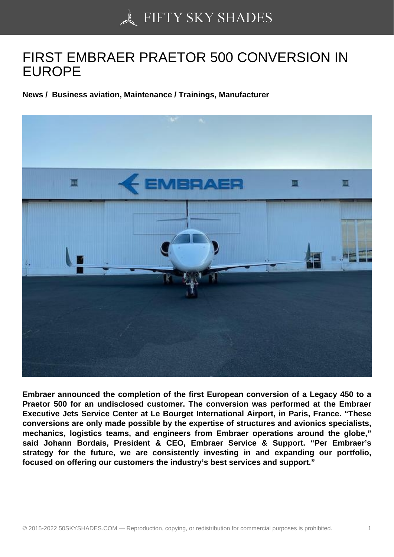## [FIRST EMBRAER PRA](https://50skyshades.com)ETOR 500 CONVERSION IN EUROPE

News / Business aviation, Maintenance / Trainings, Manufacturer

Embraer announced the completion of the first European conversion of a Legacy 450 to a Praetor 500 for an undisclosed customer. The conversion was performed at the Embraer Executive Jets Service Center at Le Bourget International Airport, in Paris, France. "These conversions are only made possible by the expertise of structures and avionics specialists, mechanics, logistics teams, and engineers from Embraer operations around the globe," said Johann Bordais, President & CEO, Embraer Service & Support. "Per Embraer's strategy for the future, we are consistently investing in and expanding our portfolio, focused on offering our customers the industry's best services and support."